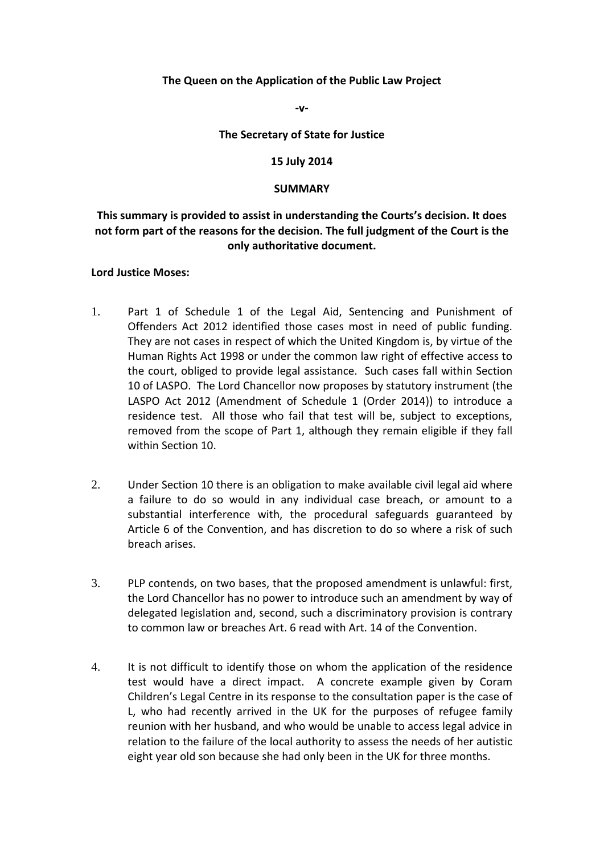# **The Queen on the Application of the Public Law Project**

**‐v‐**

### **The Secretary of State for Justice**

### **15 July 2014**

#### **SUMMARY**

# **This summary is provided to assist in understanding the Courts's decision. It does** not form part of the reasons for the decision. The full judgment of the Court is the  **only authoritative document.**

### **Lord Justice Moses:**

- 1. Part 1 of Schedule 1 of the Legal Aid, Sentencing and Punishment of Offenders Act 2012 identified those cases most in need of public funding. They are not cases in respect of which the United Kingdom is, by virtue of the Human Rights Act 1998 or under the common law right of effective access to the court, obliged to provide legal assistance. Such cases fall within Section 10 of LASPO. The Lord Chancellor now proposes by statutory instrument (the LASPO Act 2012 (Amendment of Schedule 1 (Order 2014)) to introduce a residence test. All those who fail that test will be, subject to exceptions, removed from the scope of Part 1, although they remain eligible if they fall within Section 10.
- 2. Under Section 10 there is an obligation to make available civil legal aid where a failure to do so would in any individual case breach, or amount to a substantial interference with, the procedural safeguards guaranteed by Article 6 of the Convention, and has discretion to do so where a risk of such breach arises.
- 3. PLP contends, on two bases, that the proposed amendment is unlawful: first, the Lord Chancellor has no power to introduce such an amendment by way of delegated legislation and, second, such a discriminatory provision is contrary to common law or breaches Art. 6 read with Art. 14 of the Convention.
- 4. It is not difficult to identify those on whom the application of the residence test would have a direct impact. A concrete example given by Coram Children's Legal Centre in its response to the consultation paper is the case of L, who had recently arrived in the UK for the purposes of refugee family reunion with her husband, and who would be unable to access legal advice in relation to the failure of the local authority to assess the needs of her autistic eight year old son because she had only been in the UK for three months.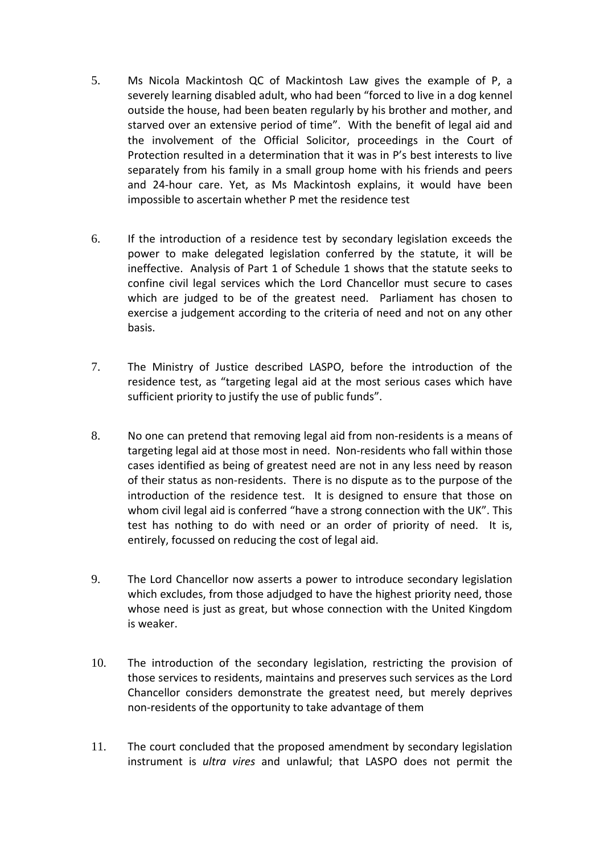- 5. Ms Nicola Mackintosh QC of Mackintosh Law gives the example of P, a severely learning disabled adult, who had been "forced to live in a dog kennel outside the house, had been beaten regularly by his brother and mother, and starved over an extensive period of time". With the benefit of legal aid and the involvement of the Official Solicitor, proceedings in the Court of Protection resulted in a determination that it was in P's best interests to live separately from his family in a small group home with his friends and peers and 24‐hour care. Yet, as Ms Mackintosh explains, it would have been impossible to ascertain whether P met the residence test
- 6. If the introduction of a residence test by secondary legislation exceeds the power to make delegated legislation conferred by the statute, it will be ineffective. Analysis of Part 1 of Schedule 1 shows that the statute seeks to confine civil legal services which the Lord Chancellor must secure to cases which are judged to be of the greatest need. Parliament has chosen to exercise a judgement according to the criteria of need and not on any other basis.
- 7. The Ministry of Justice described LASPO, before the introduction of the residence test, as "targeting legal aid at the most serious cases which have sufficient priority to justify the use of public funds".
- 8. No one can pretend that removing legal aid from non-residents is a means of targeting legal aid at those most in need. Non‐residents who fall within those cases identified as being of greatest need are not in any less need by reason of their status as non‐residents. There is no dispute as to the purpose of the introduction of the residence test. It is designed to ensure that those on whom civil legal aid is conferred "have a strong connection with the UK". This test has nothing to do with need or an order of priority of need. It is, entirely, focussed on reducing the cost of legal aid.
- 9. The Lord Chancellor now asserts a power to introduce secondary legislation which excludes, from those adjudged to have the highest priority need, those whose need is just as great, but whose connection with the United Kingdom is weaker.
- 10. The introduction of the secondary legislation, restricting the provision of those services to residents, maintains and preserves such services as the Lord Chancellor considers demonstrate the greatest need, but merely deprives non‐residents of the opportunity to take advantage of them
- 11. The court concluded that the proposed amendment by secondary legislation instrument is *ultra vires* and unlawful; that LASPO does not permit the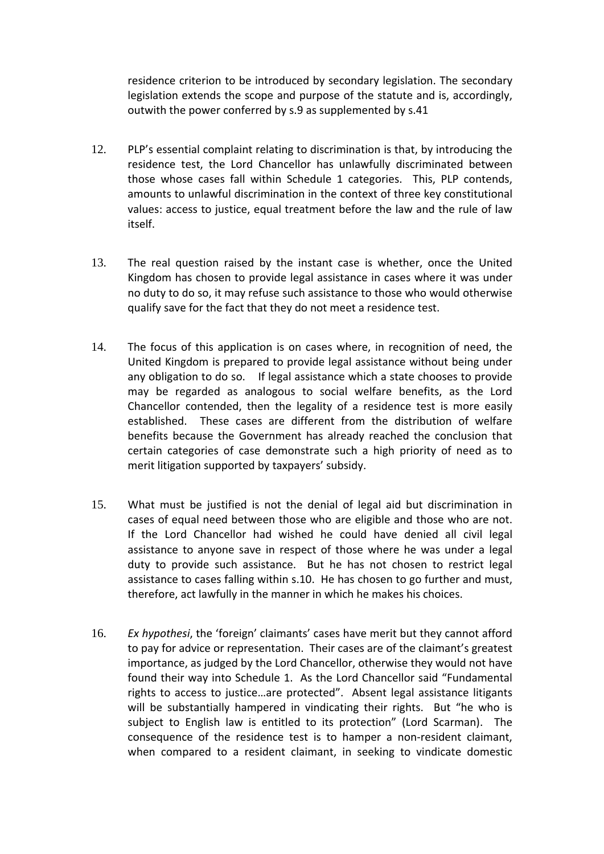residence criterion to be introduced by secondary legislation. The secondary legislation extends the scope and purpose of the statute and is, accordingly, outwith the power conferred by s.9 as supplemented by s.41

- 12. PLP's essential complaint relating to discrimination is that, by introducing the residence test, the Lord Chancellor has unlawfully discriminated between those whose cases fall within Schedule 1 categories. This, PLP contends, amounts to unlawful discrimination in the context of three key constitutional values: access to justice, equal treatment before the law and the rule of law itself.
- 13. The real question raised by the instant case is whether, once the United Kingdom has chosen to provide legal assistance in cases where it was under no duty to do so, it may refuse such assistance to those who would otherwise qualify save for the fact that they do not meet a residence test.
- 14. The focus of this application is on cases where, in recognition of need, the United Kingdom is prepared to provide legal assistance without being under any obligation to do so. If legal assistance which a state chooses to provide may be regarded as analogous to social welfare benefits, as the Lord Chancellor contended, then the legality of a residence test is more easily established. These cases are different from the distribution of welfare benefits because the Government has already reached the conclusion that certain categories of case demonstrate such a high priority of need as to merit litigation supported by taxpayers' subsidy.
- 15. What must be justified is not the denial of legal aid but discrimination in cases of equal need between those who are eligible and those who are not. If the Lord Chancellor had wished he could have denied all civil legal assistance to anyone save in respect of those where he was under a legal duty to provide such assistance. But he has not chosen to restrict legal assistance to cases falling within s.10. He has chosen to go further and must, therefore, act lawfully in the manner in which he makes his choices.
- 16. *Ex hypothesi*, the 'foreign' claimants' cases have merit but they cannot afford to pay for advice or representation. Their cases are of the claimant's greatest importance, as judged by the Lord Chancellor, otherwise they would not have found their way into Schedule 1. As the Lord Chancellor said "Fundamental rights to access to justice…are protected". Absent legal assistance litigants will be substantially hampered in vindicating their rights. But "he who is subject to English law is entitled to its protection" (Lord Scarman). The consequence of the residence test is to hamper a non‐resident claimant, when compared to a resident claimant, in seeking to vindicate domestic